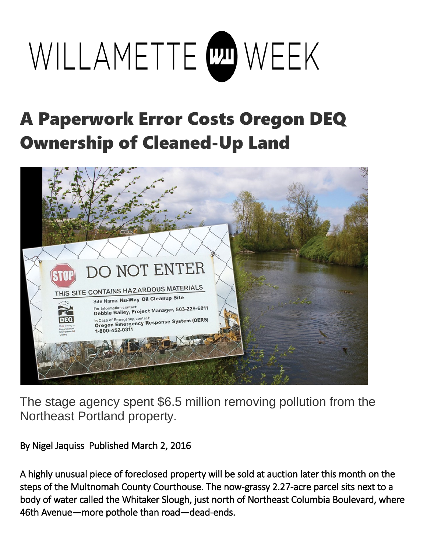## WILLAMETTE COM WEEK

## A Paperwork Error Costs Oregon DEQ Ownership of Cleaned-Up Land



The stage agency spent \$6.5 million removing pollution from the Northeast Portland property.

By Nigel Jaquiss Published March 2, 2016

A highly unusual piece of foreclosed property will be sold at auction later this month on the steps of the Multnomah County Courthouse. The now-grassy 2.27-acre parcel sits next to a body of water called the Whitaker Slough, just north of Northeast Columbia Boulevard, where 46th Avenue—more pothole than road—dead-ends.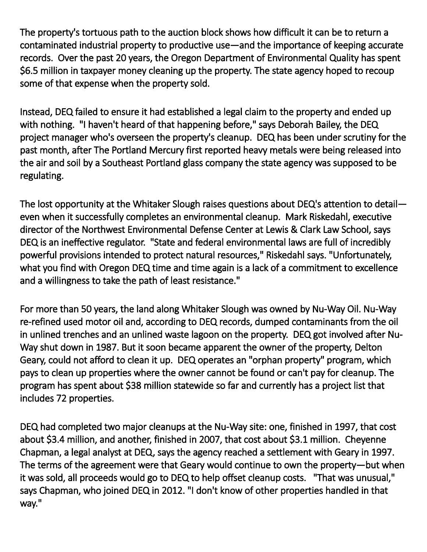The property's tortuous path to the auction block shows how difficult it can be to return a contaminated industrial property to productive use—and the importance of keeping accurate records. Over the past 20 years, the Oregon Department of Environmental Quality has spent \$6.5 million in taxpayer money cleaning up the property. The state agency hoped to recoup some of that expense when the property sold.

Instead, DEQ failed to ensure it had established a legal claim to the property and ended up with nothing. "I haven't heard of that happening before," says Deborah Bailey, the DEQ project manager who's overseen the property's cleanup. DEQ has been under scrutiny for the past month, after The Portland Mercury first reported heavy metals were being released into the air and soil by a Southeast Portland glass company the state agency was supposed to be regulating.

The lost opportunity at the Whitaker Slough raises questions about DEQ's attention to detail even when it successfully completes an environmental cleanup. Mark Riskedahl, executive director of the Northwest Environmental Defense Center at Lewis & Clark Law School, says DEQ is an ineffective regulator. "State and federal environmental laws are full of incredibly powerful provisions intended to protect natural resources," Riskedahl says. "Unfortunately, what you find with Oregon DEQ time and time again is a lack of a commitment to excellence and a willingness to take the path of least resistance."

For more than 50 years, the land along Whitaker Slough was owned by Nu-Way Oil. Nu-Way re-refined used motor oil and, according to DEQ records, dumped contaminants from the oil in unlined trenches and an unlined waste lagoon on the property. DEQ got involved after Nu-Way shut down in 1987. But it soon became apparent the owner of the property, Delton Geary, could not afford to clean it up. DEQ operates an "orphan property" program, which pays to clean up properties where the owner cannot be found or can't pay for cleanup. The program has spent about \$38 million statewide so far and currently has a project list that includes 72 properties.

DEQ had completed two major cleanups at the Nu-Way site: one, finished in 1997, that cost about \$3.4 million, and another, finished in 2007, that cost about \$3.1 million. Cheyenne Chapman, a legal analyst at DEQ, says the agency reached a settlement with Geary in 1997. The terms of the agreement were that Geary would continue to own the property—but when it was sold, all proceeds would go to DEQ to help offset cleanup costs. "That was unusual," says Chapman, who joined DEQ in 2012. "I don't know of other properties handled in that way."